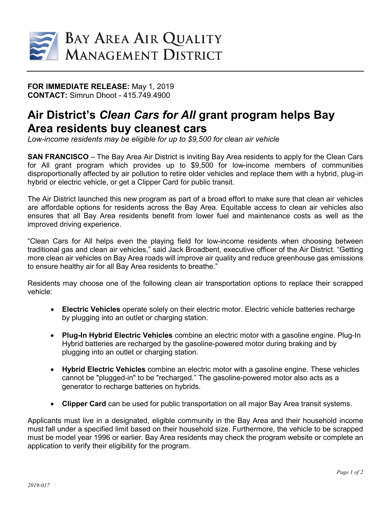

## **FOR IMMEDIATE RELEASE:** May 1, 2019 **CONTACT:** Simrun Dhoot - 415.749.4900

## **Air District's** *Clean Cars for All* **grant program helps Bay Area residents buy cleanest cars**

*Low-income residents may be eligible for up to \$9,500 for clean air vehicle*

**SAN FRANCISCO** – The Bay Area Air District is inviting Bay Area residents to apply for the Clean Cars for All grant program which provides up to \$9,500 for low-income members of communities disproportionally affected by air pollution to retire older vehicles and replace them with a hybrid, plug-in hybrid or electric vehicle, or get a Clipper Card for public transit.

The Air District launched this new program as part of a broad effort to make sure that clean air vehicles are affordable options for residents across the Bay Area. Equitable access to clean air vehicles also ensures that all Bay Area residents benefit from lower fuel and maintenance costs as well as the improved driving experience.

"Clean Cars for All helps even the playing field for low-income residents when choosing between traditional gas and clean air vehicles," said Jack Broadbent, executive officer of the Air District. "Getting more clean air vehicles on Bay Area roads will improve air quality and reduce greenhouse gas emissions to ensure healthy air for all Bay Area residents to breathe."

Residents may choose one of the following clean air transportation options to replace their scrapped vehicle:

- **Electric Vehicles** operate solely on their electric motor. Electric vehicle batteries recharge by plugging into an outlet or charging station.
- **Plug-In Hybrid Electric Vehicles** combine an electric motor with a gasoline engine. Plug-In Hybrid batteries are recharged by the gasoline-powered motor during braking and by plugging into an outlet or charging station.
- **Hybrid Electric Vehicles** combine an electric motor with a gasoline engine. These vehicles cannot be "plugged-in" to be "recharged." The gasoline-powered motor also acts as a generator to recharge batteries on hybrids.
- **Clipper Card** can be used for public transportation on all major Bay Area transit systems.

Applicants must live in a designated, eligible community in the Bay Area and their household income must fall under a specified limit based on their household size. Furthermore, the vehicle to be scrapped must be model year 1996 or earlier. Bay Area residents may check the program website or complete an application to verify their eligibility for the program.